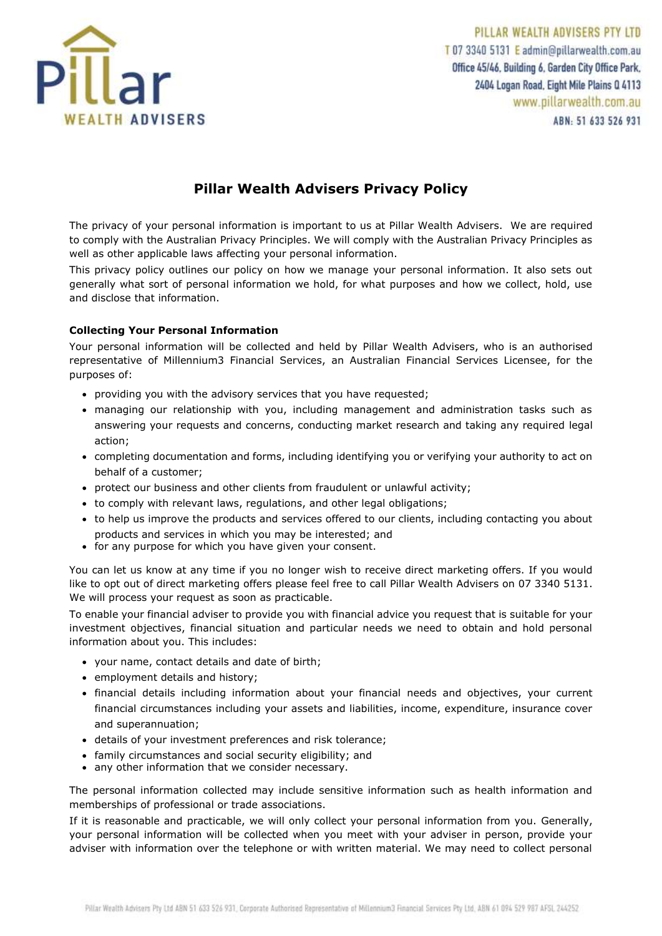

PILLAR WEALTH ADVISERS PTY LTD T 07 3340 5131 E admin@pillarwealth.com.au Office 45/46, Building 6, Garden City Office Park, 2404 Logan Road, Eight Mile Plains 0 4113 www.pillarwealth.com.au ABN: 51 633 526 931

# **Pillar Wealth Advisers Privacy Policy**

The privacy of your personal information is important to us at Pillar Wealth Advisers. We are required to comply with the Australian Privacy Principles. We will comply with the Australian Privacy Principles as well as other applicable laws affecting your personal information.

This privacy policy outlines our policy on how we manage your personal information. It also sets out generally what sort of personal information we hold, for what purposes and how we collect, hold, use and disclose that information.

## **Collecting Your Personal Information**

Your personal information will be collected and held by Pillar Wealth Advisers, who is an authorised representative of Millennium3 Financial Services, an Australian Financial Services Licensee, for the purposes of:

- providing you with the advisory services that you have requested;
- managing our relationship with you, including management and administration tasks such as answering your requests and concerns, conducting market research and taking any required legal action;
- completing documentation and forms, including identifying you or verifying your authority to act on behalf of a customer;
- protect our business and other clients from fraudulent or unlawful activity;
- to comply with relevant laws, regulations, and other legal obligations;
- to help us improve the products and services offered to our clients, including contacting you about products and services in which you may be interested; and
- for any purpose for which you have given your consent.

You can let us know at any time if you no longer wish to receive direct marketing offers. If you would like to opt out of direct marketing offers please feel free to call Pillar Wealth Advisers on 07 3340 5131. We will process your request as soon as practicable.

To enable your financial adviser to provide you with financial advice you request that is suitable for your investment objectives, financial situation and particular needs we need to obtain and hold personal information about you. This includes:

- your name, contact details and date of birth;
- employment details and history;
- financial details including information about your financial needs and objectives, your current financial circumstances including your assets and liabilities, income, expenditure, insurance cover and superannuation;
- details of your investment preferences and risk tolerance;
- family circumstances and social security eligibility; and
- any other information that we consider necessary.

The personal information collected may include sensitive information such as health information and memberships of professional or trade associations.

If it is reasonable and practicable, we will only collect your personal information from you. Generally, your personal information will be collected when you meet with your adviser in person, provide your adviser with information over the telephone or with written material. We may need to collect personal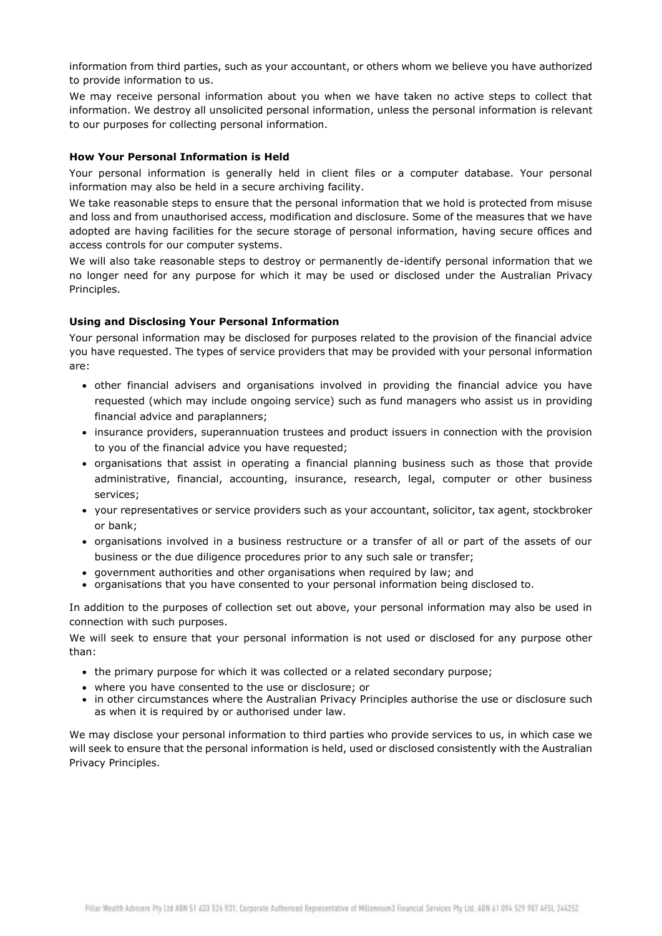information from third parties, such as your accountant, or others whom we believe you have authorized to provide information to us.

We may receive personal information about you when we have taken no active steps to collect that information. We destroy all unsolicited personal information, unless the personal information is relevant to our purposes for collecting personal information.

## **How Your Personal Information is Held**

Your personal information is generally held in client files or a computer database. Your personal information may also be held in a secure archiving facility.

We take reasonable steps to ensure that the personal information that we hold is protected from misuse and loss and from unauthorised access, modification and disclosure. Some of the measures that we have adopted are having facilities for the secure storage of personal information, having secure offices and access controls for our computer systems.

We will also take reasonable steps to destroy or permanently de-identify personal information that we no longer need for any purpose for which it may be used or disclosed under the Australian Privacy Principles.

## **Using and Disclosing Your Personal Information**

Your personal information may be disclosed for purposes related to the provision of the financial advice you have requested. The types of service providers that may be provided with your personal information are:

- other financial advisers and organisations involved in providing the financial advice you have requested (which may include ongoing service) such as fund managers who assist us in providing financial advice and paraplanners;
- insurance providers, superannuation trustees and product issuers in connection with the provision to you of the financial advice you have requested;
- organisations that assist in operating a financial planning business such as those that provide administrative, financial, accounting, insurance, research, legal, computer or other business services;
- your representatives or service providers such as your accountant, solicitor, tax agent, stockbroker or bank;
- organisations involved in a business restructure or a transfer of all or part of the assets of our business or the due diligence procedures prior to any such sale or transfer;
- government authorities and other organisations when required by law; and
- organisations that you have consented to your personal information being disclosed to.

In addition to the purposes of collection set out above, your personal information may also be used in connection with such purposes.

We will seek to ensure that your personal information is not used or disclosed for any purpose other than:

- the primary purpose for which it was collected or a related secondary purpose;
- where you have consented to the use or disclosure; or
- in other circumstances where the Australian Privacy Principles authorise the use or disclosure such as when it is required by or authorised under law.

We may disclose your personal information to third parties who provide services to us, in which case we will seek to ensure that the personal information is held, used or disclosed consistently with the Australian Privacy Principles.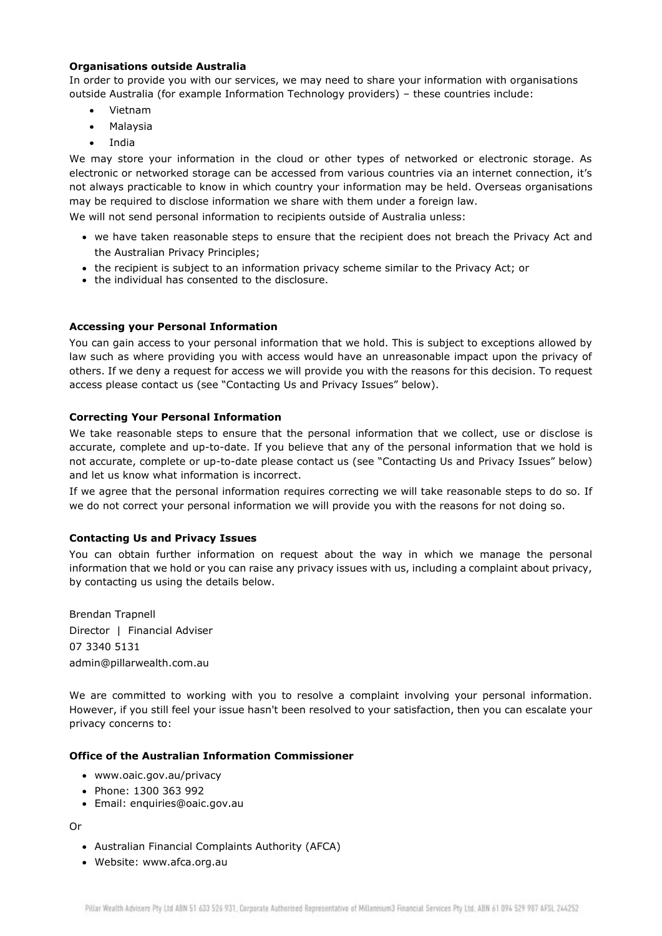## **Organisations outside Australia**

In order to provide you with our services, we may need to share your information with organisations outside Australia (for example Information Technology providers) – these countries include:

- Vietnam
- Malaysia
- India

We may store your information in the cloud or other types of networked or electronic storage. As electronic or networked storage can be accessed from various countries via an internet connection, it's not always practicable to know in which country your information may be held. Overseas organisations may be required to disclose information we share with them under a foreign law.

We will not send personal information to recipients outside of Australia unless:

- we have taken reasonable steps to ensure that the recipient does not breach the Privacy Act and the Australian Privacy Principles;
- the recipient is subject to an information privacy scheme similar to the Privacy Act; or
- the individual has consented to the disclosure.

## **Accessing your Personal Information**

You can gain access to your personal information that we hold. This is subject to exceptions allowed by law such as where providing you with access would have an unreasonable impact upon the privacy of others. If we deny a request for access we will provide you with the reasons for this decision. To request access please contact us (see "Contacting Us and Privacy Issues" below).

### **Correcting Your Personal Information**

We take reasonable steps to ensure that the personal information that we collect, use or disclose is accurate, complete and up-to-date. If you believe that any of the personal information that we hold is not accurate, complete or up-to-date please contact us (see "Contacting Us and Privacy Issues" below) and let us know what information is incorrect.

If we agree that the personal information requires correcting we will take reasonable steps to do so. If we do not correct your personal information we will provide you with the reasons for not doing so.

### **Contacting Us and Privacy Issues**

You can obtain further information on request about the way in which we manage the personal information that we hold or you can raise any privacy issues with us, including a complaint about privacy, by contacting us using the details below.

Brendan Trapnell Director | Financial Adviser 07 3340 5131 admin@pillarwealth.com.au

We are committed to working with you to resolve a complaint involving your personal information. However, if you still feel your issue hasn't been resolved to your satisfaction, then you can escalate your privacy concerns to:

### **Office of the Australian Information Commissioner**

- www.oaic.gov.au/privacy
- Phone: 1300 363 992
- Email: enquiries@oaic.gov.au

Or

- Australian Financial Complaints Authority (AFCA)
- Website: www.afca.org.au